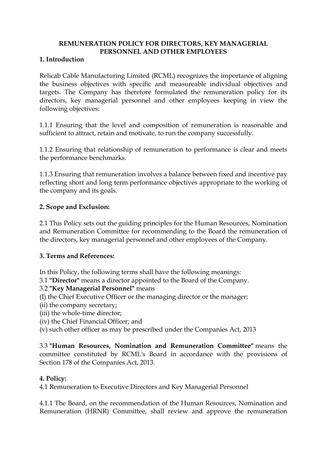# **REMUNERATION POLICY FOR DIRECTORS, KEY MANAGERIAL PERSONNEL AND OTHER EMPLOYEES**

# **1. Introduction**

Relicab Cable Manufacturing Limited (RCML) recognizes the importance of aligning the business objectives with specific and measureable individual objectives and targets. The Company has therefore formulated the remuneration policy for its directors, key managerial personnel and other employees keeping in view the following objectives:

1.1.1 Ensuring that the level and composition of remuneration is reasonable and sufficient to attract, retain and motivate, to run the company successfully.

1.1.2 Ensuring that relationship of remuneration to performance is clear and meets the performance benchmarks.

1.1.3 Ensuring that remuneration involves a balance between fixed and incentive pay reflecting short and long term performance objectives appropriate to the working of the company and its goals.

# **2. Scope and Exclusion:**

2.1 This Policy sets out the guiding principles for the Human Resources, Nomination and Remuneration Committee for recommending to the Board the remuneration of the directors, key managerial personnel and other employees of the Company.

# **3. Terms and References:**

In this Policy, the following terms shall have the following meanings:

3.1 **"Director"** means a director appointed to the Board of the Company.

# 3.2 **"Key Managerial Personnel"** means

- (I) the Chief Executive Officer or the managing director or the manager;
- (ii) the company secretary;
- (iii) the whole-time director;
- (iv) the Chief Financial Officer; and
- (v) such other officer as may be prescribed under the Companies Act, 2013

3.3 **"Human Resources, Nomination and Remuneration Committee"** means the committee constituted by RCML's Board in accordance with the provisions of Section 178 of the Companies Act, 2013.

# **4. Policy:**

4.1 Remuneration to Executive Directors and Key Managerial Personnel

4.1.1 The Board, on the recommendation of the Human Resources, Nomination and Remuneration (HRNR) Committee, shall review and approve the remuneration